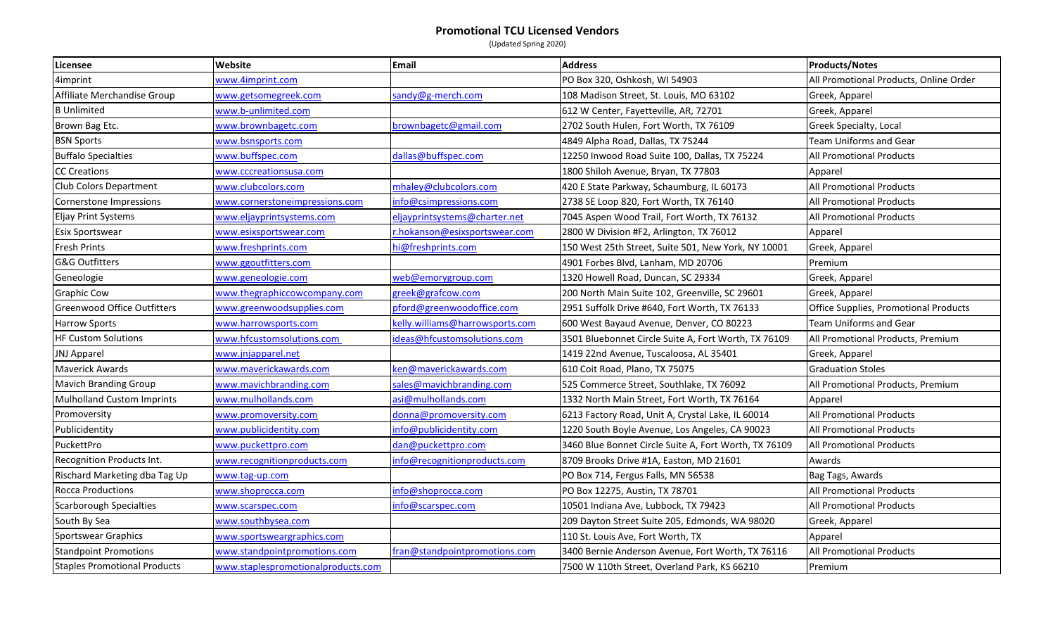## **Promotional TCU Licensed Vendors**

(Updated Spring 2020)

| Licensee                            | Website                            | <b>Email</b>                    | <b>Address</b>                                        | <b>Products/Notes</b>                  |
|-------------------------------------|------------------------------------|---------------------------------|-------------------------------------------------------|----------------------------------------|
| 4imprint                            | www.4imprint.com                   |                                 | PO Box 320, Oshkosh, WI 54903                         | All Promotional Products, Online Order |
| Affiliate Merchandise Group         | www.getsomegreek.com               | sandy@g-merch.com               | 108 Madison Street, St. Louis, MO 63102               | Greek, Apparel                         |
| <b>B</b> Unlimited                  | www.b-unlimited.com                |                                 | 612 W Center, Fayetteville, AR, 72701                 | Greek, Apparel                         |
| Brown Bag Etc.                      | www.brownbagetc.com                | brownbagetc@gmail.com           | 2702 South Hulen, Fort Worth, TX 76109                | Greek Specialty, Local                 |
| <b>BSN Sports</b>                   | www.bsnsports.com                  |                                 | 4849 Alpha Road, Dallas, TX 75244                     | <b>Team Uniforms and Gear</b>          |
| <b>Buffalo Specialties</b>          | www.buffspec.com                   | dallas@buffspec.com             | 12250 Inwood Road Suite 100, Dallas, TX 75224         | All Promotional Products               |
| <b>CC Creations</b>                 | www.cccreationsusa.com             |                                 | 1800 Shiloh Avenue, Bryan, TX 77803                   | Apparel                                |
| <b>Club Colors Department</b>       | www.clubcolors.com                 | mhaley@clubcolors.com           | 420 E State Parkway, Schaumburg, IL 60173             | <b>All Promotional Products</b>        |
| Cornerstone Impressions             | www.cornerstoneimpressions.com     | info@csimpressions.com          | 2738 SE Loop 820, Fort Worth, TX 76140                | All Promotional Products               |
| <b>Eljay Print Systems</b>          | www.eljayprintsystems.com          | eljayprintsystems@charter.net   | 7045 Aspen Wood Trail, Fort Worth, TX 76132           | All Promotional Products               |
| Esix Sportswear                     | www.esixsportswear.com             | r.hokanson@esixsportswear.com   | 2800 W Division #F2, Arlington, TX 76012              | Apparel                                |
| <b>Fresh Prints</b>                 | www.freshprints.com                | hi@freshprints.com              | 150 West 25th Street, Suite 501, New York, NY 10001   | Greek, Apparel                         |
| <b>G&amp;G Outfitters</b>           | www.ggoutfitters.com               |                                 | 4901 Forbes Blvd, Lanham, MD 20706                    | Premium                                |
| Geneologie                          | www.geneologie.com                 | web@emorygroup.com              | 1320 Howell Road, Duncan, SC 29334                    | Greek, Apparel                         |
| <b>Graphic Cow</b>                  | www.thegraphiccowcompany.com       | greek@grafcow.com               | 200 North Main Suite 102, Greenville, SC 29601        | Greek, Apparel                         |
| <b>Greenwood Office Outfitters</b>  | www.greenwoodsupplies.com          | pford@greenwoodoffice.com       | 2951 Suffolk Drive #640, Fort Worth, TX 76133         | Office Supplies, Promotional Products  |
| <b>Harrow Sports</b>                | www.harrowsports.com               | kelly.williams@harrowsports.com | 600 West Bayaud Avenue, Denver, CO 80223              | <b>Team Uniforms and Gear</b>          |
| <b>HF Custom Solutions</b>          | www.hfcustomsolutions.com          | ideas@hfcustomsolutions.com     | 3501 Bluebonnet Circle Suite A, Fort Worth, TX 76109  | All Promotional Products, Premium      |
| <b>JNJ Apparel</b>                  | www.jnjapparel.net                 |                                 | 1419 22nd Avenue, Tuscaloosa, AL 35401                | Greek, Apparel                         |
| <b>Maverick Awards</b>              | www.maverickawards.com             | ken@maverickawards.com          | 610 Coit Road, Plano, TX 75075                        | <b>Graduation Stoles</b>               |
| <b>Mavich Branding Group</b>        | www.mavichbranding.com             | sales@mavichbranding.com        | 525 Commerce Street, Southlake, TX 76092              | All Promotional Products, Premium      |
| <b>Mulholland Custom Imprints</b>   | www.mulhollands.com                | asi@mulhollands.com             | 1332 North Main Street, Fort Worth, TX 76164          | Apparel                                |
| Promoversity                        | www.promoversity.com               | donna@promoversity.com          | 6213 Factory Road, Unit A, Crystal Lake, IL 60014     | <b>All Promotional Products</b>        |
| Publicidentity                      | www.publicidentity.com             | info@publicidentity.com         | 1220 South Boyle Avenue, Los Angeles, CA 90023        | All Promotional Products               |
| PuckettPro                          | www.puckettpro.com                 | dan@puckettpro.com              | 3460 Blue Bonnet Circle Suite A, Fort Worth, TX 76109 | <b>All Promotional Products</b>        |
| Recognition Products Int.           | www.recognitionproducts.com        | info@recognitionproducts.com    | 8709 Brooks Drive #1A, Easton, MD 21601               | Awards                                 |
| Rischard Marketing dba Tag Up       | www.tag-up.com                     |                                 | PO Box 714, Fergus Falls, MN 56538                    | Bag Tags, Awards                       |
| <b>Rocca Productions</b>            | www.shoprocca.com                  | info@shoprocca.com              | PO Box 12275, Austin, TX 78701                        | <b>All Promotional Products</b>        |
| <b>Scarborough Specialties</b>      | www.scarspec.com                   | nfo@scarspec.com                | 10501 Indiana Ave, Lubbock, TX 79423                  | <b>All Promotional Products</b>        |
| South By Sea                        | www.southbysea.com                 |                                 | 209 Dayton Street Suite 205, Edmonds, WA 98020        | Greek, Apparel                         |
| <b>Sportswear Graphics</b>          | www.sportsweargraphics.com         |                                 | 110 St. Louis Ave, Fort Worth, TX                     | Apparel                                |
| <b>Standpoint Promotions</b>        | www.standpointpromotions.com       | fran@standpointpromotions.com   | 3400 Bernie Anderson Avenue, Fort Worth, TX 76116     | All Promotional Products               |
| <b>Staples Promotional Products</b> | www.staplespromotionalproducts.com |                                 | 7500 W 110th Street, Overland Park, KS 66210          | Premium                                |